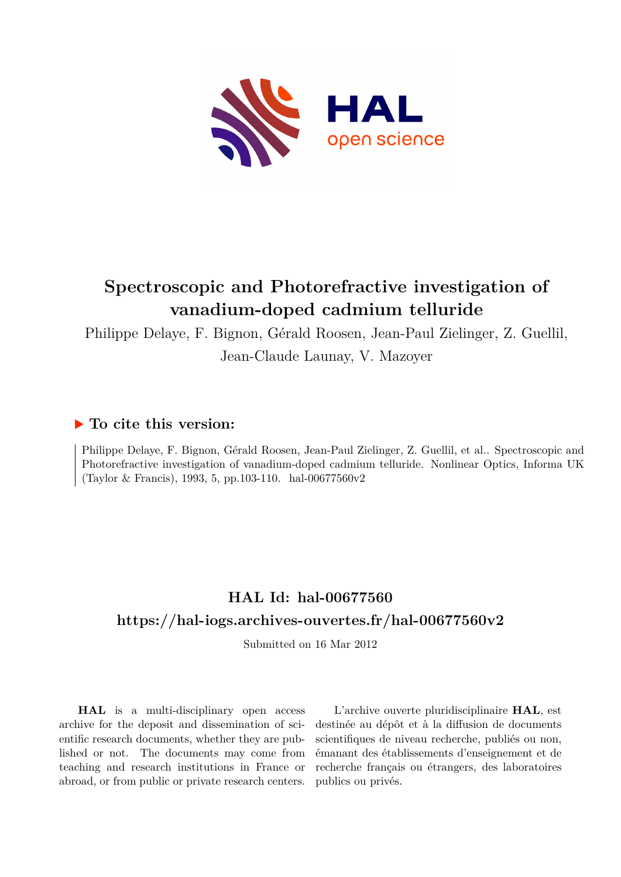

# **Spectroscopic and Photorefractive investigation of vanadium-doped cadmium telluride**

Philippe Delaye, F. Bignon, Gérald Roosen, Jean-Paul Zielinger, Z. Guellil,

Jean-Claude Launay, V. Mazoyer

# **To cite this version:**

Philippe Delaye, F. Bignon, Gérald Roosen, Jean-Paul Zielinger, Z. Guellil, et al.. Spectroscopic and Photorefractive investigation of vanadium-doped cadmium telluride. Nonlinear Optics, Informa UK (Taylor & Francis), 1993, 5, pp.103-110. hal-00677560v2

# **HAL Id: hal-00677560 <https://hal-iogs.archives-ouvertes.fr/hal-00677560v2>**

Submitted on 16 Mar 2012

**HAL** is a multi-disciplinary open access archive for the deposit and dissemination of scientific research documents, whether they are published or not. The documents may come from teaching and research institutions in France or abroad, or from public or private research centers.

L'archive ouverte pluridisciplinaire **HAL**, est destinée au dépôt et à la diffusion de documents scientifiques de niveau recherche, publiés ou non, émanant des établissements d'enseignement et de recherche français ou étrangers, des laboratoires publics ou privés.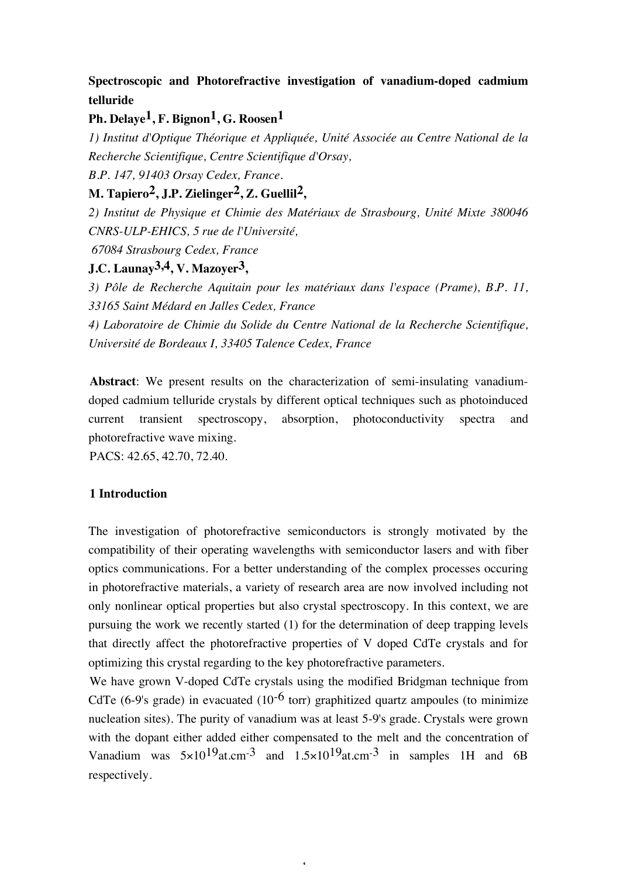# **Spectroscopic and Photorefractive investigation of vanadium-doped cadmium telluride**

## **Ph. Delaye1, F. Bignon1, G. Roosen1**

*1) Institut d'Optique Théorique et Appliquée, Unité Associée au Centre National de la Recherche Scientifique, Centre Scientifique d'Orsay,* 

*B.P. 147, 91403 Orsay Cedex, France.* 

## **M. Tapiero2, J.P. Zielinger2, Z. Guellil2,**

*2) Institut de Physique et Chimie des Matériaux de Strasbourg, Unité Mixte 380046 CNRS-ULP-EHICS, 5 rue de l'Université,*

 *67084 Strasbourg Cedex, France*

## **J.C. Launay3,4, V. Mazoyer3,**

*3) Pôle de Recherche Aquitain pour les matériaux dans l'espace (Prame), B.P. 11, 33165 Saint Médard en Jalles Cedex, France*

*4) Laboratoire de Chimie du Solide du Centre National de la Recherche Scientifique, Université de Bordeaux I, 33405 Talence Cedex, France*

**Abstract**: We present results on the characterization of semi-insulating vanadiumdoped cadmium telluride crystals by different optical techniques such as photoinduced current transient spectroscopy, absorption, photoconductivity spectra and photorefractive wave mixing.

PACS: 42.65, 42.70, 72.40.

### **1 Introduction**

The investigation of photorefractive semiconductors is strongly motivated by the compatibility of their operating wavelengths with semiconductor lasers and with fiber optics communications. For a better understanding of the complex processes occuring in photorefractive materials, a variety of research area are now involved including not only nonlinear optical properties but also crystal spectroscopy. In this context, we are pursuing the work we recently started (1) for the determination of deep trapping levels that directly affect the photorefractive properties of V doped CdTe crystals and for optimizing this crystal regarding to the key photorefractive parameters.

We have grown V-doped CdTe crystals using the modified Bridgman technique from CdTe (6-9's grade) in evacuated (10<sup>-6</sup> torr) graphitized quartz ampoules (to minimize nucleation sites). The purity of vanadium was at least 5-9's grade. Crystals were grown with the dopant either added either compensated to the melt and the concentration of Vanadium was  $5\times10^{19}$ at.cm<sup>-3</sup> and  $1.5\times10^{19}$ at.cm<sup>-3</sup> in samples 1H and 6B respectively.

1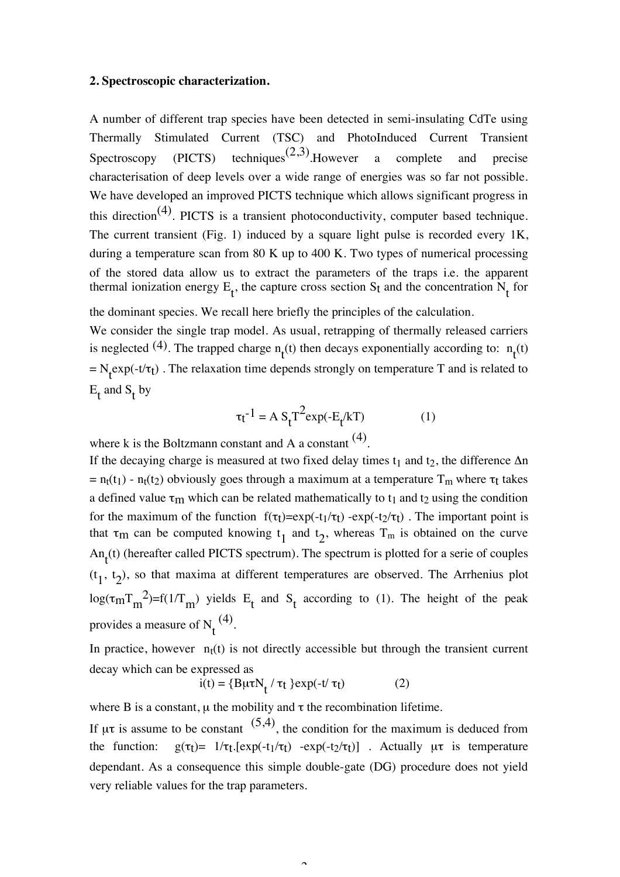#### **2. Spectroscopic characterization.**

A number of different trap species have been detected in semi-insulating CdTe using Thermally Stimulated Current (TSC) and PhotoInduced Current Transient Spectroscopy (PICTS) techniques<sup>(2,3)</sup>. However a complete and precise characterisation of deep levels over a wide range of energies was so far not possible. We have developed an improved PICTS technique which allows significant progress in this direction<sup>(4)</sup>. PICTS is a transient photoconductivity, computer based technique. The current transient (Fig. 1) induced by a square light pulse is recorded every 1K, during a temperature scan from 80 K up to 400 K. Two types of numerical processing of the stored data allow us to extract the parameters of the traps i.e. the apparent thermal ionization energy  $E_t$ , the capture cross section  $S_t$  and the concentration  $N_t$  for

the dominant species. We recall here briefly the principles of the calculation.

We consider the single trap model. As usual, retrapping of thermally released carriers is neglected <sup>(4)</sup>. The trapped charge  $n_t(t)$  then decays exponentially according to:  $n_t(t)$ =  $N_t$ exp(-t/ $\tau_t$ ). The relaxation time depends strongly on temperature T and is related to  $E_t$  and  $S_t$  by

$$
\tau_t^{-1} = A S_t T^2 \exp(-E_t/kT)
$$
 (1)

where k is the Boltzmann constant and A a constant  $(4)$ .

If the decaying charge is measured at two fixed delay times  $t_1$  and  $t_2$ , the difference  $\Delta n$ =  $n_t(t_1)$  -  $n_t(t_2)$  obviously goes through a maximum at a temperature  $T_m$  where  $\tau_t$  takes a defined value  $\tau_m$  which can be related mathematically to  $t_1$  and  $t_2$  using the condition for the maximum of the function  $f(\tau_t)=exp(-t_1/\tau_t)$  -exp(-t<sub>2</sub>/ $\tau_t$ ). The important point is that  $\tau_m$  can be computed knowing  $t_1$  and  $t_2$ , whereas  $T_m$  is obtained on the curve An<sub>t</sub>(t) (hereafter called PICTS spectrum). The spectrum is plotted for a serie of couples  $(t_1, t_2)$ , so that maxima at different temperatures are observed. The Arrhenius plot log( $\tau_{m}T_{m}^{2}$ )=f(1/T<sub>m</sub>) yields E<sub>t</sub> and S<sub>t</sub> according to (1). The height of the peak provides a measure of  $N_t^{(4)}$ .

In practice, however  $n_t(t)$  is not directly accessible but through the transient current decay which can be expressed as

$$
i(t) = {B\mu\tau N_t / \tau_t } \exp(-t/\tau_t)
$$
 (2)

where B is a constant,  $\mu$  the mobility and  $\tau$  the recombination lifetime.

If  $\mu\tau$  is assume to be constant  $(5,4)$ , the condition for the maximum is deduced from the function:  $g(\tau_t) = 1/\tau_t$ .[exp(-t<sub>1</sub>/ $\tau_t$ ) -exp(-t<sub>2</sub>/ $\tau_t$ )]. Actually  $\mu\tau$  is temperature dependant. As a consequence this simple double-gate (DG) procedure does not yield very reliable values for the trap parameters.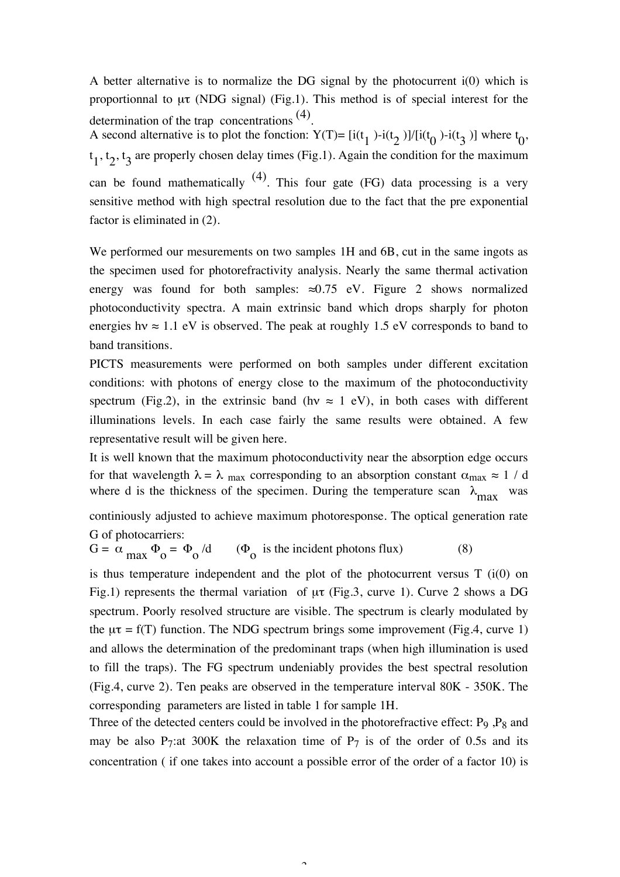A better alternative is to normalize the DG signal by the photocurrent i(0) which is proportionnal to  $\mu\tau$  (NDG signal) (Fig.1). This method is of special interest for the determination of the trap concentrations (4).

A second alternative is to plot the fonction:  $Y(T) = [i(t_1) -i(t_2)]/[i(t_0) -i(t_3)]$  where  $t_0$ ,  $t_1$ ,  $t_2$ ,  $t_3$  are properly chosen delay times (Fig.1). Again the condition for the maximum can be found mathematically  $(4)$ . This four gate (FG) data processing is a very sensitive method with high spectral resolution due to the fact that the pre exponential factor is eliminated in (2).

We performed our mesurements on two samples 1H and 6B, cut in the same ingots as the specimen used for photorefractivity analysis. Nearly the same thermal activation energy was found for both samples:  $\approx 0.75$  eV. Figure 2 shows normalized photoconductivity spectra. A main extrinsic band which drops sharply for photon energies hy  $\approx 1.1$  eV is observed. The peak at roughly 1.5 eV corresponds to band to band transitions.

PICTS measurements were performed on both samples under different excitation conditions: with photons of energy close to the maximum of the photoconductivity spectrum (Fig.2), in the extrinsic band (hv  $\approx$  1 eV), in both cases with different illuminations levels. In each case fairly the same results were obtained. A few representative result will be given here.

It is well known that the maximum photoconductivity near the absorption edge occurs for that wavelength  $\lambda = \lambda_{\text{max}}$  corresponding to an absorption constant  $\alpha_{\text{max}} \approx 1 / d$ where d is the thickness of the specimen. During the temperature scan  $\lambda_{\text{max}}$  was

continiously adjusted to achieve maximum photoresponse. The optical generation rate G of photocarriers:

 $G = \alpha \frac{max}{\omega_0}$  =  $\Phi_0$  $/d$  ( $\Phi$ <sub>o</sub> is the incident photons flux) (8)

is thus temperature independent and the plot of the photocurrent versus  $T$  (i(0) on Fig.1) represents the thermal variation of µτ (Fig.3, curve 1). Curve 2 shows a DG spectrum. Poorly resolved structure are visible. The spectrum is clearly modulated by the  $\mu\tau$  = f(T) function. The NDG spectrum brings some improvement (Fig.4, curve 1) and allows the determination of the predominant traps (when high illumination is used to fill the traps). The FG spectrum undeniably provides the best spectral resolution (Fig.4, curve 2). Ten peaks are observed in the temperature interval 80K - 350K. The corresponding parameters are listed in table 1 for sample 1H.

Three of the detected centers could be involved in the photorefractive effect: P<sub>9</sub>, P<sub>8</sub> and may be also P<sub>7</sub>:at 300K the relaxation time of P<sub>7</sub> is of the order of 0.5s and its concentration ( if one takes into account a possible error of the order of a factor 10) is

 $\overline{a}$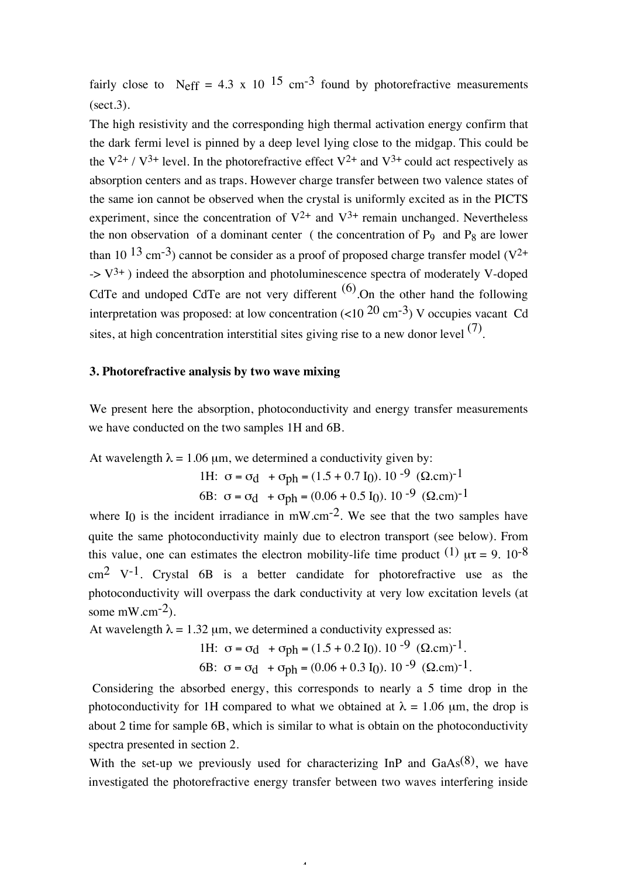fairly close to Neff = 4.3 x 10 <sup>15</sup> cm<sup>-3</sup> found by photorefractive measurements  $(\text{sect}.3)$ .

The high resistivity and the corresponding high thermal activation energy confirm that the dark fermi level is pinned by a deep level lying close to the midgap. This could be the  $V^{2+}$  /  $V^{3+}$  level. In the photorefractive effect  $V^{2+}$  and  $V^{3+}$  could act respectively as absorption centers and as traps. However charge transfer between two valence states of the same ion cannot be observed when the crystal is uniformly excited as in the PICTS experiment, since the concentration of  $V^{2+}$  and  $V^{3+}$  remain unchanged. Nevertheless the non observation of a dominant center (the concentration of  $P_9$  and  $P_8$  are lower than 10  $13 \text{ cm}^{-3}$ ) cannot be consider as a proof of proposed charge transfer model (V<sup>2+</sup>  $-$  >  $V^{3+}$ ) indeed the absorption and photoluminescence spectra of moderately V-doped CdTe and undoped CdTe are not very different  $(6)$ . On the other hand the following interpretation was proposed: at low concentration  $(<10^{20} \text{ cm}^{-3})$  V occupies vacant Cd sites, at high concentration interstitial sites giving rise to a new donor level  $(7)$ .

### **3. Photorefractive analysis by two wave mixing**

We present here the absorption, photoconductivity and energy transfer measurements we have conducted on the two samples 1H and 6B.

At wavelength 
$$
\lambda = 1.06 \mu m
$$
, we determined a conductivity given by:  
\n1H:  $\sigma = \sigma_d + \sigma_{ph} = (1.5 + 0.7 I_0). 10^{-9} (\Omega.cm)^{-1}$   
\n6B:  $\sigma = \sigma_d + \sigma_{ph} = (0.06 + 0.5 I_0). 10^{-9} (\Omega.cm)^{-1}$ 

where I<sub>0</sub> is the incident irradiance in  $mW.cm^{-2}$ . We see that the two samples have quite the same photoconductivity mainly due to electron transport (see below). From this value, one can estimates the electron mobility-life time product  $(1)$   $\mu\tau = 9$ .  $10^{-8}$  $cm<sup>2</sup>$  V<sup>-1</sup>. Crystal 6B is a better candidate for photorefractive use as the photoconductivity will overpass the dark conductivity at very low excitation levels (at some  $mW.cm^{-2}$ ).

At wavelength  $\lambda = 1.32$  µm, we determined a conductivity expressed as:

1H: 
$$
\sigma = \sigma_d + \sigma_{ph} = (1.5 + 0.2 \text{ I}0). 10^{-9} (\Omega \text{.cm})^{-1}.
$$
  
6B:  $\sigma = \sigma_d + \sigma_{ph} = (0.06 + 0.3 \text{ I}0). 10^{-9} (\Omega \text{.cm})^{-1}.$ 

 Considering the absorbed energy, this corresponds to nearly a 5 time drop in the photoconductivity for 1H compared to what we obtained at  $\lambda = 1.06$  µm, the drop is about 2 time for sample 6B, which is similar to what is obtain on the photoconductivity spectra presented in section 2.

With the set-up we previously used for characterizing InP and  $GaAs^{(8)}$ , we have investigated the photorefractive energy transfer between two waves interfering inside

 $\overline{a}$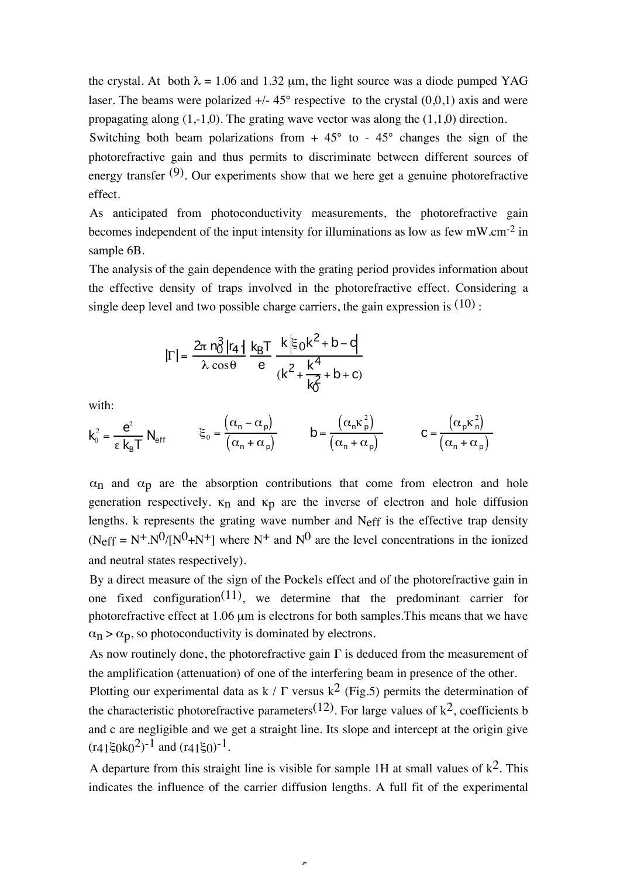the crystal. At both  $\lambda = 1.06$  and 1.32 µm, the light source was a diode pumped YAG laser. The beams were polarized  $+/- 45^{\circ}$  respective to the crystal  $(0,0,1)$  axis and were propagating along  $(1,-1,0)$ . The grating wave vector was along the  $(1,1,0)$  direction.

Switching both beam polarizations from  $+ 45^{\circ}$  to  $- 45^{\circ}$  changes the sign of the photorefractive gain and thus permits to discriminate between different sources of energy transfer  $(9)$ . Our experiments show that we here get a genuine photorefractive effect.

As anticipated from photoconductivity measurements, the photorefractive gain becomes independent of the input intensity for illuminations as low as few  $mW.cm^{-2}$  in sample 6B.

The analysis of the gain dependence with the grating period provides information about the effective density of traps involved in the photorefractive effect. Considering a single deep level and two possible charge carriers, the gain expression is  $(10)$ :

$$
|\Gamma| = \frac{2\pi n_0^3 |r_4|}{\lambda \cos \theta} \frac{k_B T}{e} \frac{k \left|\xi_0 k^2 + b - c\right|}{\left(k^2 + \frac{k^4}{k_0^2} + b + c\right)}
$$

with:

$$
k_0^2 = \frac{e^2}{\varepsilon k_B T} N_{\text{eff}} \qquad \xi_0 = \frac{(\alpha_n - \alpha_p)}{(\alpha_n + \alpha_p)} \qquad b = \frac{(\alpha_n \kappa_p^2)}{(\alpha_n + \alpha_p)} \qquad c = \frac{(\alpha_p \kappa_n^2)}{(\alpha_n + \alpha_p)}
$$

 $\alpha_n$  and  $\alpha_p$  are the absorption contributions that come from electron and hole generation respectively.  $\kappa_n$  and  $\kappa_p$  are the inverse of electron and hole diffusion lengths. k represents the grating wave number and  $N_{\text{eff}}$  is the effective trap density  $(N_{\text{eff}} = N^{+} N^{0}/[N^{0} + N^{+}]$  where  $N^{+}$  and  $N^{0}$  are the level concentrations in the ionized and neutral states respectively).

By a direct measure of the sign of the Pockels effect and of the photorefractive gain in one fixed configuration<sup>(11)</sup>, we determine that the predominant carrier for photorefractive effect at 1.06 µm is electrons for both samples. This means that we have  $\alpha_n > \alpha_p$ , so photoconductivity is dominated by electrons.

As now routinely done, the photorefractive gain  $\Gamma$  is deduced from the measurement of the amplification (attenuation) of one of the interfering beam in presence of the other.

Plotting our experimental data as k /  $\Gamma$  versus k<sup>2</sup> (Fig.5) permits the determination of the characteristic photorefractive parameters (12). For large values of  $k^2$ , coefficients b and c are negligible and we get a straight line. Its slope and intercept at the origin give  $(r41\xi_0k_0^2)^{-1}$  and  $(r41\xi_0)^{-1}$ .

A departure from this straight line is visible for sample 1H at small values of  $k^2$ . This indicates the influence of the carrier diffusion lengths. A full fit of the experimental

 $\overline{a}$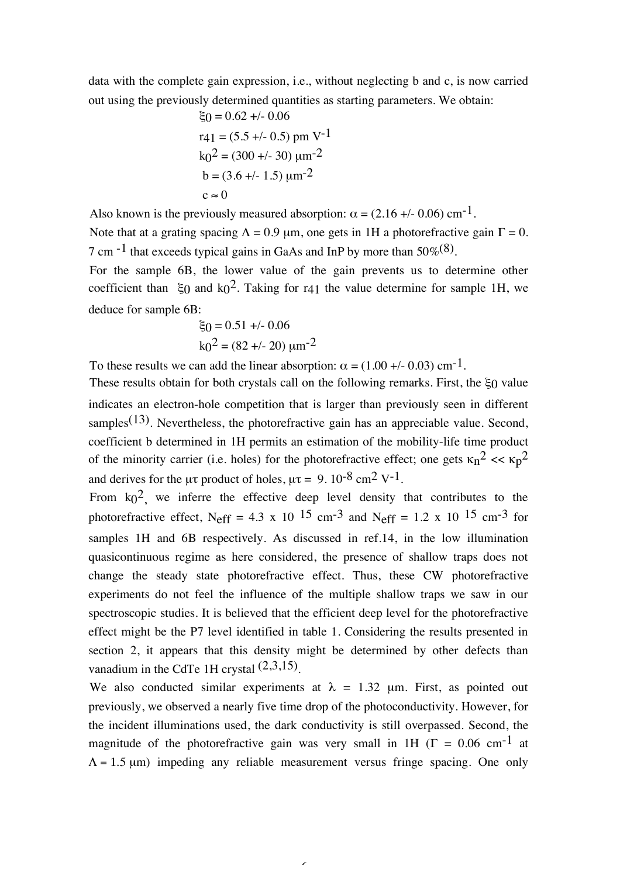data with the complete gain expression, i.e., without neglecting b and c, is now carried out using the previously determined quantities as starting parameters. We obtain:

$$
ξ0 = 0.62 +/- 0.06
$$
  
r41 = (5.5 +/- 0.5) pm V<sup>-1</sup>  
k<sub>0</sub><sup>2</sup> = (300 +/- 30) μm<sup>-2</sup>  
b = (3.6 +/- 1.5) μm<sup>-2</sup>  
c ≈ 0

Also known is the previously measured absorption:  $\alpha = (2.16 +1.006)$  cm<sup>-1</sup>. Note that at a grating spacing  $\Lambda = 0.9$  µm, one gets in 1H a photorefractive gain  $\Gamma = 0$ . 7 cm  $^{-1}$  that exceeds typical gains in GaAs and InP by more than 50% $(8)$ .

For the sample 6B, the lower value of the gain prevents us to determine other coefficient than  $\xi_0$  and  $k_0^2$ . Taking for r41 the value determine for sample 1H, we deduce for sample 6B:

$$
\xi_0 = 0.51 +/- 0.06
$$

$$
k_0^2 = (82 +/- 20) \, \mu m^{-2}
$$

To these results we can add the linear absorption:  $\alpha = (1.00 +1.003)$  cm<sup>-1</sup>.

These results obtain for both crystals call on the following remarks. First, the ξ0 value indicates an electron-hole competition that is larger than previously seen in different samples<sup> $(13)$ </sup>. Nevertheless, the photorefractive gain has an appreciable value. Second, coefficient b determined in 1H permits an estimation of the mobility-life time product of the minority carrier (i.e. holes) for the photorefractive effect; one gets  $\kappa_n^2 \ll \kappa_0^2$ and derives for the  $\mu\tau$  product of holes,  $\mu\tau = 9.10^{-8}$  cm<sup>2</sup> V<sup>-1</sup>.

From  $k_0^2$  we inferre the effective deep level density that contributes to the photorefractive effect, Neff = 4.3 x 10 <sup>15</sup> cm<sup>-3</sup> and Neff = 1.2 x 10<sup>15</sup> cm<sup>-3</sup> for samples 1H and 6B respectively. As discussed in ref.14, in the low illumination quasicontinuous regime as here considered, the presence of shallow traps does not change the steady state photorefractive effect. Thus, these CW photorefractive experiments do not feel the influence of the multiple shallow traps we saw in our spectroscopic studies. It is believed that the efficient deep level for the photorefractive effect might be the P7 level identified in table 1. Considering the results presented in section 2, it appears that this density might be determined by other defects than vanadium in the CdTe 1H crystal  $(2,3,15)$ .

We also conducted similar experiments at  $\lambda = 1.32$  µm. First, as pointed out previously, we observed a nearly five time drop of the photoconductivity. However, for the incident illuminations used, the dark conductivity is still overpassed. Second, the magnitude of the photorefractive gain was very small in 1H ( $\Gamma = 0.06$  cm<sup>-1</sup> at  $\Lambda$  = 1.5 µm) impeding any reliable measurement versus fringe spacing. One only

 $\overline{\phantom{0}}$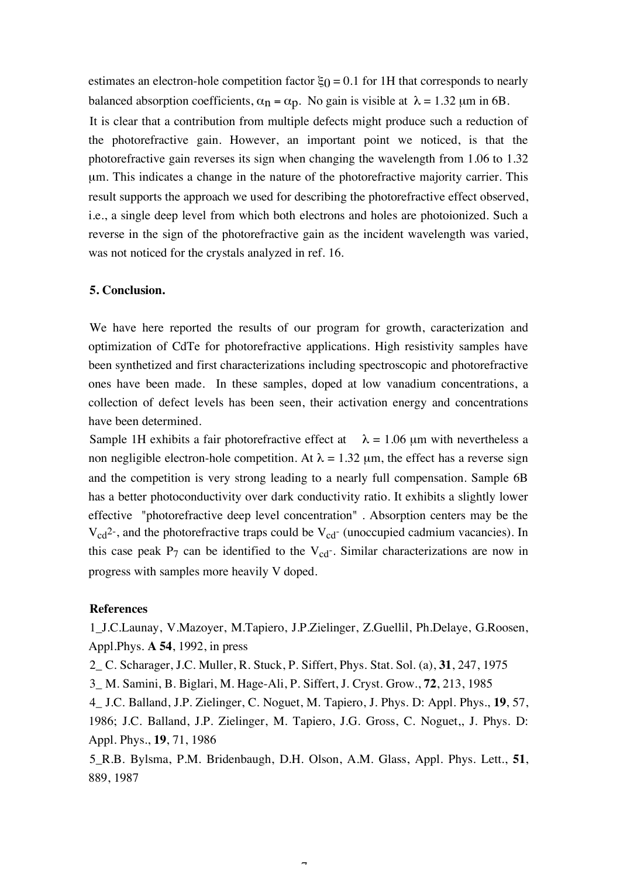estimates an electron-hole competition factor  $\xi_0 = 0.1$  for 1H that corresponds to nearly balanced absorption coefficients,  $\alpha_n = \alpha_p$ . No gain is visible at  $\lambda = 1.32$  µm in 6B.

It is clear that a contribution from multiple defects might produce such a reduction of the photorefractive gain. However, an important point we noticed, is that the photorefractive gain reverses its sign when changing the wavelength from 1.06 to 1.32 µm. This indicates a change in the nature of the photorefractive majority carrier. This result supports the approach we used for describing the photorefractive effect observed, i.e., a single deep level from which both electrons and holes are photoionized. Such a reverse in the sign of the photorefractive gain as the incident wavelength was varied, was not noticed for the crystals analyzed in ref. 16.

#### **5. Conclusion.**

We have here reported the results of our program for growth, caracterization and optimization of CdTe for photorefractive applications. High resistivity samples have been synthetized and first characterizations including spectroscopic and photorefractive ones have been made. In these samples, doped at low vanadium concentrations, a collection of defect levels has been seen, their activation energy and concentrations have been determined.

Sample 1H exhibits a fair photorefractive effect at  $\lambda = 1.06 \mu m$  with nevertheless a non negligible electron-hole competition. At  $\lambda = 1.32$  µm, the effect has a reverse sign and the competition is very strong leading to a nearly full compensation. Sample 6B has a better photoconductivity over dark conductivity ratio. It exhibits a slightly lower effective "photorefractive deep level concentration" . Absorption centers may be the  $V_{cd}^2$ , and the photorefractive traps could be  $V_{cd}$  (unoccupied cadmium vacancies). In this case peak  $P_7$  can be identified to the  $V_{cd}$ . Similar characterizations are now in progress with samples more heavily V doped.

#### **References**

1\_J.C.Launay, V.Mazoyer, M.Tapiero, J.P.Zielinger, Z.Guellil, Ph.Delaye, G.Roosen, Appl.Phys. **A 54**, 1992, in press

2\_ C. Scharager, J.C. Muller, R. Stuck, P. Siffert, Phys. Stat. Sol. (a), **31**, 247, 1975

3\_ M. Samini, B. Biglari, M. Hage-Ali, P. Siffert, J. Cryst. Grow., **72**, 213, 1985

4\_ J.C. Balland, J.P. Zielinger, C. Noguet, M. Tapiero, J. Phys. D: Appl. Phys., **19**, 57, 1986; J.C. Balland, J.P. Zielinger, M. Tapiero, J.G. Gross, C. Noguet,, J. Phys. D: Appl. Phys., **19**, 71, 1986

5\_R.B. Bylsma, P.M. Bridenbaugh, D.H. Olson, A.M. Glass, Appl. Phys. Lett., **51**, 889, 1987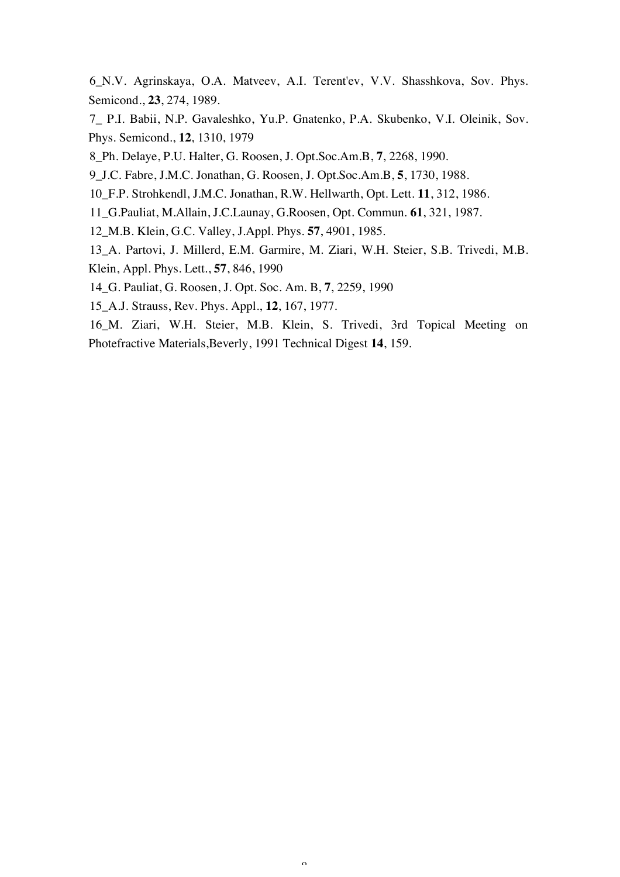6\_N.V. Agrinskaya, O.A. Matveev, A.I. Terent'ev, V.V. Shasshkova, Sov. Phys. Semicond., **23**, 274, 1989.

7\_ P.I. Babii, N.P. Gavaleshko, Yu.P. Gnatenko, P.A. Skubenko, V.I. Oleinik, Sov. Phys. Semicond., **12**, 1310, 1979

8\_Ph. Delaye, P.U. Halter, G. Roosen, J. Opt.Soc.Am.B, **7**, 2268, 1990.

9\_J.C. Fabre, J.M.C. Jonathan, G. Roosen, J. Opt.Soc.Am.B, **5**, 1730, 1988.

10\_F.P. Strohkendl, J.M.C. Jonathan, R.W. Hellwarth, Opt. Lett. **11**, 312, 1986.

11\_G.Pauliat, M.Allain, J.C.Launay, G.Roosen, Opt. Commun. **61**, 321, 1987.

12\_M.B. Klein, G.C. Valley, J.Appl. Phys. **57**, 4901, 1985.

13\_A. Partovi, J. Millerd, E.M. Garmire, M. Ziari, W.H. Steier, S.B. Trivedi, M.B. Klein, Appl. Phys. Lett., **57**, 846, 1990

14\_G. Pauliat, G. Roosen, J. Opt. Soc. Am. B, **7**, 2259, 1990

15\_A.J. Strauss, Rev. Phys. Appl., **12**, 167, 1977.

16\_M. Ziari, W.H. Steier, M.B. Klein, S. Trivedi, 3rd Topical Meeting on Photefractive Materials,Beverly, 1991 Technical Digest **14**, 159.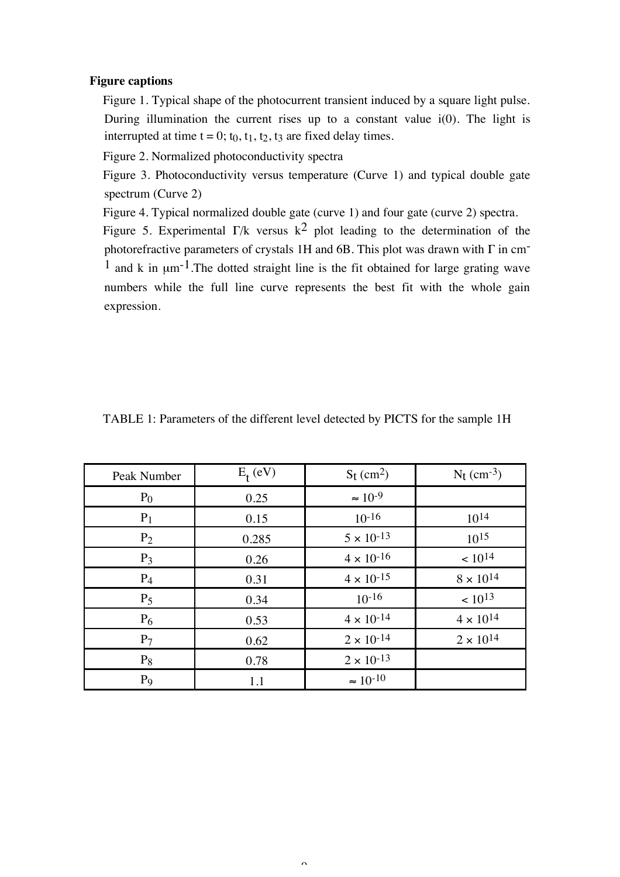#### **Figure captions**

Figure 1. Typical shape of the photocurrent transient induced by a square light pulse. During illumination the current rises up to a constant value  $i(0)$ . The light is interrupted at time  $t = 0$ ;  $t_0$ ,  $t_1$ ,  $t_2$ ,  $t_3$  are fixed delay times.

Figure 2. Normalized photoconductivity spectra

Figure 3. Photoconductivity versus temperature (Curve 1) and typical double gate spectrum (Curve 2)

Figure 4. Typical normalized double gate (curve 1) and four gate (curve 2) spectra.

Figure 5. Experimental  $\Gamma/k$  versus  $k^2$  plot leading to the determination of the photorefractive parameters of crystals 1H and 6B. This plot was drawn with  $\Gamma$  in cm<sup>-</sup>  $1$  and k in  $\mu$ m<sup>-1</sup>. The dotted straight line is the fit obtained for large grating wave numbers while the full line curve represents the best fit with the whole gain expression.

| Peak Number    | $E_t$ (eV) | $S_t$ (cm <sup>2</sup> ) | $N_t$ (cm <sup>-3</sup> ) |
|----------------|------------|--------------------------|---------------------------|
| $P_0$          | 0.25       | $\approx 10^{-9}$        |                           |
| $P_1$          | 0.15       | $10^{-16}$               | $10^{14}$                 |
| P <sub>2</sub> | 0.285      | $5 \times 10^{-13}$      | $10^{15}$                 |
| $P_3$          | 0.26       | $4\times10^{\text{-}16}$ | $< 10^{14}$               |
| $P_4$          | 0.31       | $4 \times 10^{-15}$      | $8\times10^{14}$          |
| $P_5$          | 0.34       | $10^{-16}$               | $~10^{13}$                |
| $P_6$          | 0.53       | $4\times10^{-14}$        | $4\times10^{14}$          |
| P <sub>7</sub> | 0.62       | $2\times10^{-14}$        | $2\times10^{14}$          |
| $P_8$          | 0.78       | $2\times10^{-13}$        |                           |
| P <sub>9</sub> | 1.1        | $\approx 10^{-10}$       |                           |

#### TABLE 1: Parameters of the different level detected by PICTS for the sample 1H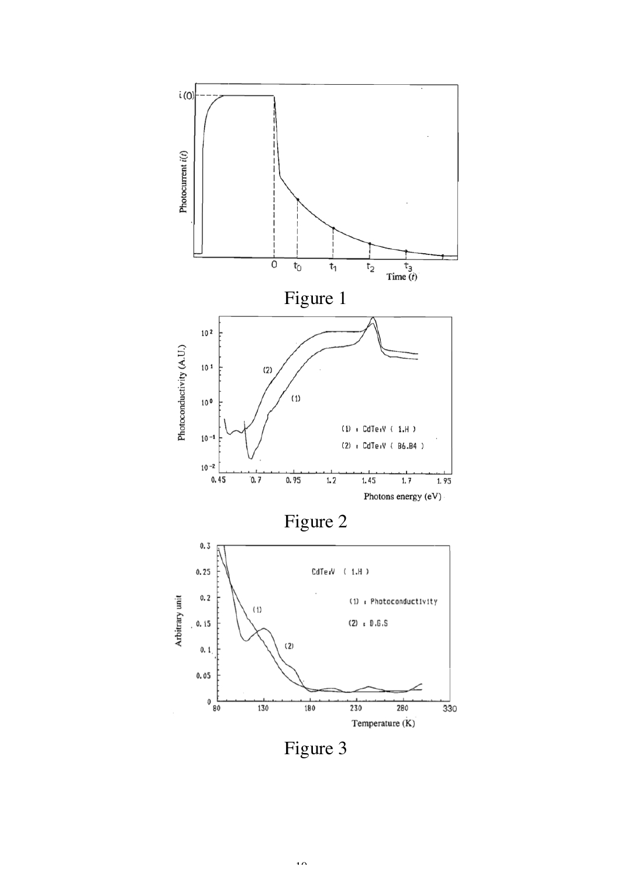

Figure 3